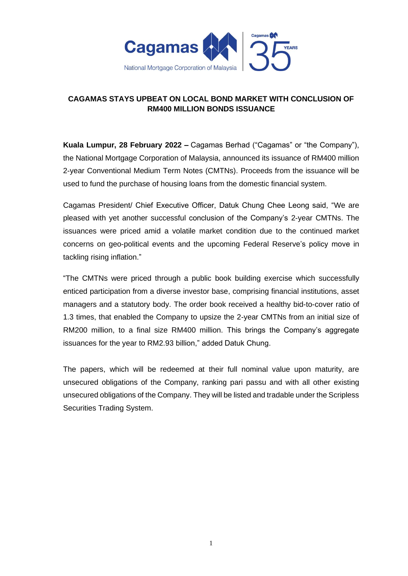

## **CAGAMAS STAYS UPBEAT ON LOCAL BOND MARKET WITH CONCLUSION OF RM400 MILLION BONDS ISSUANCE**

**Kuala Lumpur, 28 February 2022 –** Cagamas Berhad ("Cagamas" or "the Company"), the National Mortgage Corporation of Malaysia, announced its issuance of RM400 million 2-year Conventional Medium Term Notes (CMTNs). Proceeds from the issuance will be used to fund the purchase of housing loans from the domestic financial system.

Cagamas President/ Chief Executive Officer, Datuk Chung Chee Leong said, "We are pleased with yet another successful conclusion of the Company's 2-year CMTNs. The issuances were priced amid a volatile market condition due to the continued market concerns on geo-political events and the upcoming Federal Reserve's policy move in tackling rising inflation."

"The CMTNs were priced through a public book building exercise which successfully enticed participation from a diverse investor base, comprising financial institutions, asset managers and a statutory body. The order book received a healthy bid-to-cover ratio of 1.3 times, that enabled the Company to upsize the 2-year CMTNs from an initial size of RM200 million, to a final size RM400 million. This brings the Company's aggregate issuances for the year to RM2.93 billion," added Datuk Chung.

The papers, which will be redeemed at their full nominal value upon maturity, are unsecured obligations of the Company, ranking pari passu and with all other existing unsecured obligations of the Company. They will be listed and tradable under the Scripless Securities Trading System.